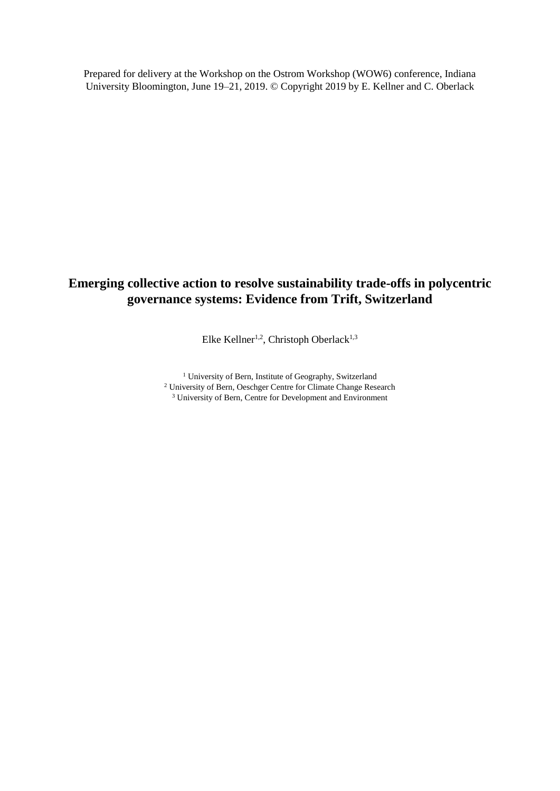Prepared for delivery at the Workshop on the Ostrom Workshop (WOW6) conference, Indiana University Bloomington, June 19–21, 2019. © Copyright 2019 by E. Kellner and C. Oberlack

# **Emerging collective action to resolve sustainability trade-offs in polycentric governance systems: Evidence from Trift, Switzerland**

Elke Kellner<sup>1,2</sup>, Christoph Oberlack<sup>1,3</sup>

<sup>1</sup> University of Bern, Institute of Geography, Switzerland <sup>2</sup> University of Bern, Oeschger Centre for Climate Change Research <sup>3</sup> University of Bern, Centre for Development and Environment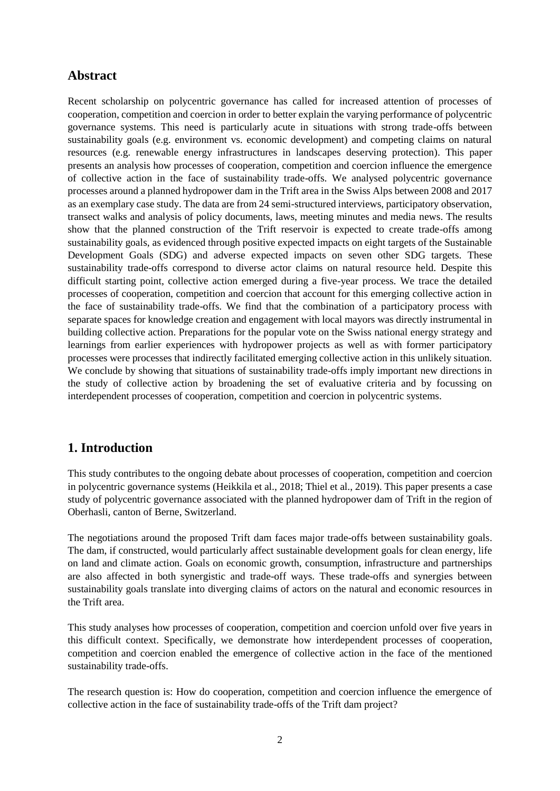### **Abstract**

Recent scholarship on polycentric governance has called for increased attention of processes of cooperation, competition and coercion in order to better explain the varying performance of polycentric governance systems. This need is particularly acute in situations with strong trade-offs between sustainability goals (e.g. environment vs. economic development) and competing claims on natural resources (e.g. renewable energy infrastructures in landscapes deserving protection). This paper presents an analysis how processes of cooperation, competition and coercion influence the emergence of collective action in the face of sustainability trade-offs. We analysed polycentric governance processes around a planned hydropower dam in the Trift area in the Swiss Alps between 2008 and 2017 as an exemplary case study. The data are from 24 semi-structured interviews, participatory observation, transect walks and analysis of policy documents, laws, meeting minutes and media news. The results show that the planned construction of the Trift reservoir is expected to create trade-offs among sustainability goals, as evidenced through positive expected impacts on eight targets of the Sustainable Development Goals (SDG) and adverse expected impacts on seven other SDG targets. These sustainability trade-offs correspond to diverse actor claims on natural resource held. Despite this difficult starting point, collective action emerged during a five-year process. We trace the detailed processes of cooperation, competition and coercion that account for this emerging collective action in the face of sustainability trade-offs. We find that the combination of a participatory process with separate spaces for knowledge creation and engagement with local mayors was directly instrumental in building collective action. Preparations for the popular vote on the Swiss national energy strategy and learnings from earlier experiences with hydropower projects as well as with former participatory processes were processes that indirectly facilitated emerging collective action in this unlikely situation. We conclude by showing that situations of sustainability trade-offs imply important new directions in the study of collective action by broadening the set of evaluative criteria and by focussing on interdependent processes of cooperation, competition and coercion in polycentric systems.

### **1. Introduction**

This study contributes to the ongoing debate about processes of cooperation, competition and coercion in polycentric governance systems (Heikkila et al., 2018; Thiel et al., 2019). This paper presents a case study of polycentric governance associated with the planned hydropower dam of Trift in the region of Oberhasli, canton of Berne, Switzerland.

The negotiations around the proposed Trift dam faces major trade-offs between sustainability goals. The dam, if constructed, would particularly affect sustainable development goals for clean energy, life on land and climate action. Goals on economic growth, consumption, infrastructure and partnerships are also affected in both synergistic and trade-off ways. These trade-offs and synergies between sustainability goals translate into diverging claims of actors on the natural and economic resources in the Trift area.

This study analyses how processes of cooperation, competition and coercion unfold over five years in this difficult context. Specifically, we demonstrate how interdependent processes of cooperation, competition and coercion enabled the emergence of collective action in the face of the mentioned sustainability trade-offs.

The research question is: How do cooperation, competition and coercion influence the emergence of collective action in the face of sustainability trade-offs of the Trift dam project?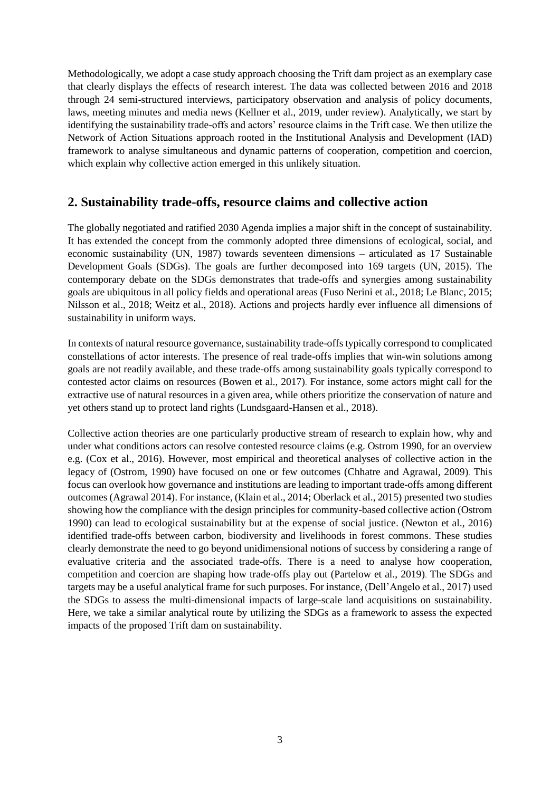Methodologically, we adopt a case study approach choosing the Trift dam project as an exemplary case that clearly displays the effects of research interest. The data was collected between 2016 and 2018 through 24 semi-structured interviews, participatory observation and analysis of policy documents, laws, meeting minutes and media news (Kellner et al., 2019, under review). Analytically, we start by identifying the sustainability trade-offs and actors' resource claims in the Trift case. We then utilize the Network of Action Situations approach rooted in the Institutional Analysis and Development (IAD) framework to analyse simultaneous and dynamic patterns of cooperation, competition and coercion, which explain why collective action emerged in this unlikely situation.

### **2. Sustainability trade-offs, resource claims and collective action**

The globally negotiated and ratified 2030 Agenda implies a major shift in the concept of sustainability. It has extended the concept from the commonly adopted three dimensions of ecological, social, and economic sustainability (UN, 1987) towards seventeen dimensions – articulated as 17 Sustainable Development Goals (SDGs). The goals are further decomposed into 169 targets (UN, 2015). The contemporary debate on the SDGs demonstrates that trade-offs and synergies among sustainability goals are ubiquitous in all policy fields and operational areas (Fuso Nerini et al., 2018; Le Blanc, 2015; Nilsson et al., 2018; Weitz et al., 2018). Actions and projects hardly ever influence all dimensions of sustainability in uniform ways.

In contexts of natural resource governance, sustainability trade-offs typically correspond to complicated constellations of actor interests. The presence of real trade-offs implies that win-win solutions among goals are not readily available, and these trade-offs among sustainability goals typically correspond to contested actor claims on resources (Bowen et al., 2017). For instance, some actors might call for the extractive use of natural resources in a given area, while others prioritize the conservation of nature and yet others stand up to protect land rights (Lundsgaard-Hansen et al., 2018).

Collective action theories are one particularly productive stream of research to explain how, why and under what conditions actors can resolve contested resource claims (e.g. Ostrom 1990, for an overview e.g. (Cox et al., 2016). However, most empirical and theoretical analyses of collective action in the legacy of (Ostrom, 1990) have focused on one or few outcomes (Chhatre and Agrawal, 2009). This focus can overlook how governance and institutions are leading to important trade-offs among different outcomes (Agrawal 2014). For instance, (Klain et al., 2014; Oberlack et al., 2015) presented two studies showing how the compliance with the design principles for community-based collective action (Ostrom 1990) can lead to ecological sustainability but at the expense of social justice. (Newton et al., 2016) identified trade-offs between carbon, biodiversity and livelihoods in forest commons. These studies clearly demonstrate the need to go beyond unidimensional notions of success by considering a range of evaluative criteria and the associated trade-offs. There is a need to analyse how cooperation, competition and coercion are shaping how trade-offs play out (Partelow et al., 2019). The SDGs and targets may be a useful analytical frame for such purposes. For instance, (Dell'Angelo et al., 2017) used the SDGs to assess the multi-dimensional impacts of large-scale land acquisitions on sustainability. Here, we take a similar analytical route by utilizing the SDGs as a framework to assess the expected impacts of the proposed Trift dam on sustainability.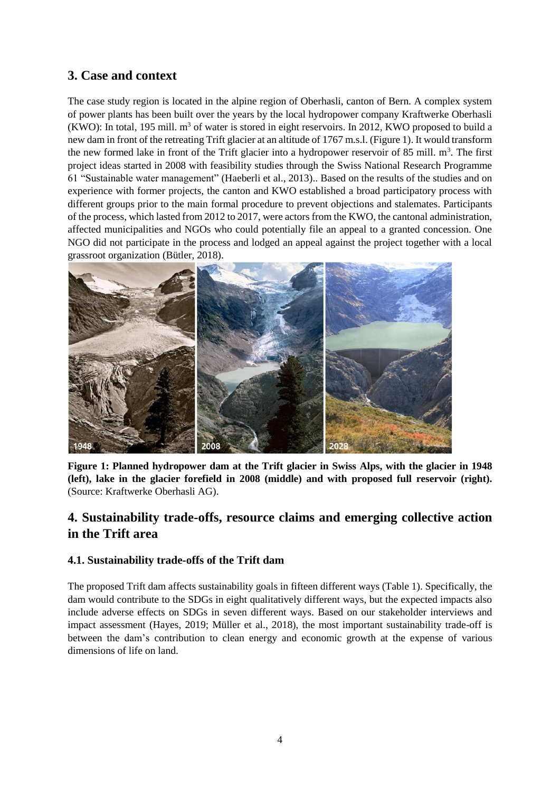# **3. Case and context**

The case study region is located in the alpine region of Oberhasli, canton of Bern. A complex system of power plants has been built over the years by the local hydropower company Kraftwerke Oberhasli (KWO): In total, 195 mill.  $m<sup>3</sup>$  of water is stored in eight reservoirs. In 2012, KWO proposed to build a new dam in front of the retreating Trift glacier at an altitude of 1767 m.s.l. (Figure 1). It would transform the new formed lake in front of the Trift glacier into a hydropower reservoir of 85 mill. m<sup>3</sup>. The first project ideas started in 2008 with feasibility studies through the Swiss National Research Programme 61 "Sustainable water management" (Haeberli et al., 2013).. Based on the results of the studies and on experience with former projects, the canton and KWO established a broad participatory process with different groups prior to the main formal procedure to prevent objections and stalemates. Participants of the process, which lasted from 2012 to 2017, were actors from the KWO, the cantonal administration, affected municipalities and NGOs who could potentially file an appeal to a granted concession. One NGO did not participate in the process and lodged an appeal against the project together with a local grassroot organization (Bütler, 2018).



**Figure 1: Planned hydropower dam at the Trift glacier in Swiss Alps, with the glacier in 1948 (left), lake in the glacier forefield in 2008 (middle) and with proposed full reservoir (right).**  (Source: Kraftwerke Oberhasli AG).

# **4. Sustainability trade-offs, resource claims and emerging collective action in the Trift area**

### **4.1. Sustainability trade-offs of the Trift dam**

The proposed Trift dam affects sustainability goals in fifteen different ways (Table 1). Specifically, the dam would contribute to the SDGs in eight qualitatively different ways, but the expected impacts also include adverse effects on SDGs in seven different ways. Based on our stakeholder interviews and impact assessment (Hayes, 2019; Müller et al., 2018), the most important sustainability trade-off is between the dam's contribution to clean energy and economic growth at the expense of various dimensions of life on land.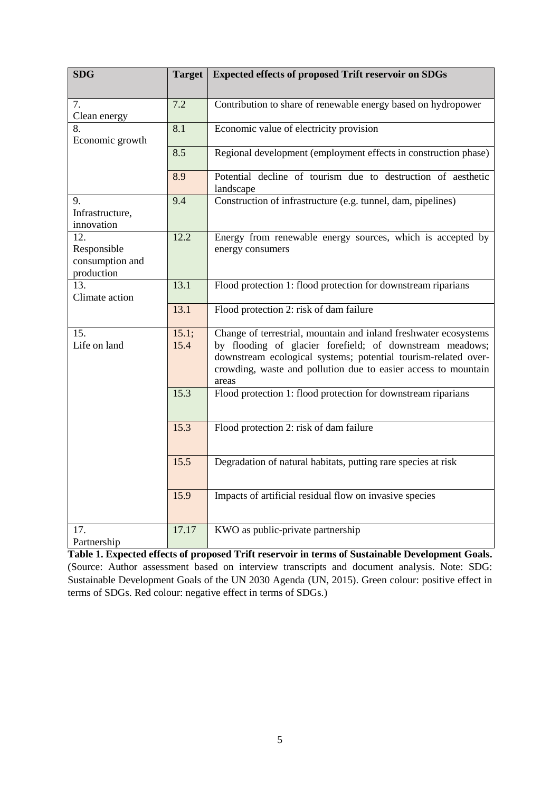| <b>SDG</b>                                          | <b>Target</b> | <b>Expected effects of proposed Trift reservoir on SDGs</b>                                                                                                                                                                                                               |  |  |  |
|-----------------------------------------------------|---------------|---------------------------------------------------------------------------------------------------------------------------------------------------------------------------------------------------------------------------------------------------------------------------|--|--|--|
|                                                     |               |                                                                                                                                                                                                                                                                           |  |  |  |
| 7.<br>Clean energy                                  | 7.2           | Contribution to share of renewable energy based on hydropower                                                                                                                                                                                                             |  |  |  |
| 8.<br>Economic growth                               | 8.1           | Economic value of electricity provision                                                                                                                                                                                                                                   |  |  |  |
|                                                     | 8.5           | Regional development (employment effects in construction phase)                                                                                                                                                                                                           |  |  |  |
|                                                     | 8.9           | Potential decline of tourism due to destruction of aesthetic<br>landscape                                                                                                                                                                                                 |  |  |  |
| 9.<br>Infrastructure,<br>innovation                 | 9.4           | Construction of infrastructure (e.g. tunnel, dam, pipelines)                                                                                                                                                                                                              |  |  |  |
| 12.<br>Responsible<br>consumption and<br>production | 12.2          | Energy from renewable energy sources, which is accepted by<br>energy consumers                                                                                                                                                                                            |  |  |  |
| 13.<br>Climate action                               | 13.1          | Flood protection 1: flood protection for downstream riparians                                                                                                                                                                                                             |  |  |  |
|                                                     | 13.1          | Flood protection 2: risk of dam failure                                                                                                                                                                                                                                   |  |  |  |
| 15.<br>Life on land                                 | 15.1;<br>15.4 | Change of terrestrial, mountain and inland freshwater ecosystems<br>by flooding of glacier forefield; of downstream meadows;<br>downstream ecological systems; potential tourism-related over-<br>crowding, waste and pollution due to easier access to mountain<br>areas |  |  |  |
|                                                     | 15.3          | Flood protection 1: flood protection for downstream riparians                                                                                                                                                                                                             |  |  |  |
|                                                     | 15.3          | Flood protection 2: risk of dam failure                                                                                                                                                                                                                                   |  |  |  |
|                                                     | 15.5          | Degradation of natural habitats, putting rare species at risk                                                                                                                                                                                                             |  |  |  |
|                                                     | 15.9          | Impacts of artificial residual flow on invasive species                                                                                                                                                                                                                   |  |  |  |
| 17.<br>Partnership                                  | 17.17         | KWO as public-private partnership                                                                                                                                                                                                                                         |  |  |  |

**Table 1. Expected effects of proposed Trift reservoir in terms of Sustainable Development Goals.** (Source: Author assessment based on interview transcripts and document analysis. Note: SDG: Sustainable Development Goals of the UN 2030 Agenda (UN, 2015). Green colour: positive effect in terms of SDGs. Red colour: negative effect in terms of SDGs.)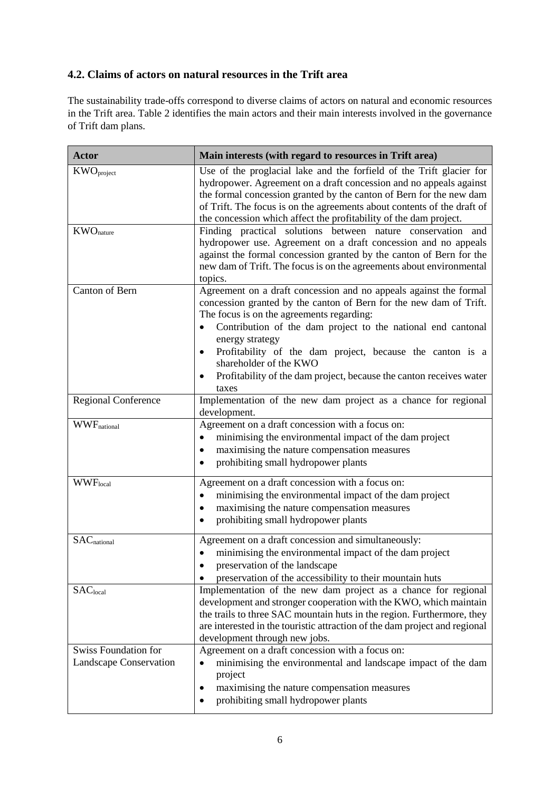### **4.2. Claims of actors on natural resources in the Trift area**

The sustainability trade-offs correspond to diverse claims of actors on natural and economic resources in the Trift area. Table 2 identifies the main actors and their main interests involved in the governance of Trift dam plans.

| <b>Actor</b>                                          | Main interests (with regard to resources in Trift area)                                                                                                                                                                                                                                                                                                                                                                                                     |  |  |
|-------------------------------------------------------|-------------------------------------------------------------------------------------------------------------------------------------------------------------------------------------------------------------------------------------------------------------------------------------------------------------------------------------------------------------------------------------------------------------------------------------------------------------|--|--|
| $KWO_{project}$                                       | Use of the proglacial lake and the forfield of the Trift glacier for<br>hydropower. Agreement on a draft concession and no appeals against<br>the formal concession granted by the canton of Bern for the new dam<br>of Trift. The focus is on the agreements about contents of the draft of<br>the concession which affect the profitability of the dam project.                                                                                           |  |  |
| $KWO$ <sub>nature</sub>                               | Finding practical solutions between nature conservation and<br>hydropower use. Agreement on a draft concession and no appeals<br>against the formal concession granted by the canton of Bern for the<br>new dam of Trift. The focus is on the agreements about environmental<br>topics.                                                                                                                                                                     |  |  |
| Canton of Bern                                        | Agreement on a draft concession and no appeals against the formal<br>concession granted by the canton of Bern for the new dam of Trift.<br>The focus is on the agreements regarding:<br>Contribution of the dam project to the national end cantonal<br>$\bullet$<br>energy strategy<br>Profitability of the dam project, because the canton is a<br>shareholder of the KWO<br>Profitability of the dam project, because the canton receives water<br>taxes |  |  |
| <b>Regional Conference</b>                            | Implementation of the new dam project as a chance for regional<br>development.                                                                                                                                                                                                                                                                                                                                                                              |  |  |
| <b>WWF</b> national                                   | Agreement on a draft concession with a focus on:<br>minimising the environmental impact of the dam project<br>maximising the nature compensation measures<br>$\bullet$<br>prohibiting small hydropower plants                                                                                                                                                                                                                                               |  |  |
| <b>WWF</b> local                                      | Agreement on a draft concession with a focus on:<br>minimising the environmental impact of the dam project<br>$\bullet$<br>maximising the nature compensation measures<br>٠<br>prohibiting small hydropower plants                                                                                                                                                                                                                                          |  |  |
| $SAC$ <sub>national</sub>                             | Agreement on a draft concession and simultaneously:<br>minimising the environmental impact of the dam project<br>preservation of the landscape<br>preservation of the accessibility to their mountain huts                                                                                                                                                                                                                                                  |  |  |
| SAC <sub>local</sub>                                  | Implementation of the new dam project as a chance for regional<br>development and stronger cooperation with the KWO, which maintain<br>the trails to three SAC mountain huts in the region. Furthermore, they<br>are interested in the touristic attraction of the dam project and regional<br>development through new jobs.                                                                                                                                |  |  |
| <b>Swiss Foundation for</b><br>Landscape Conservation | Agreement on a draft concession with a focus on:<br>minimising the environmental and landscape impact of the dam<br>project<br>maximising the nature compensation measures<br>prohibiting small hydropower plants                                                                                                                                                                                                                                           |  |  |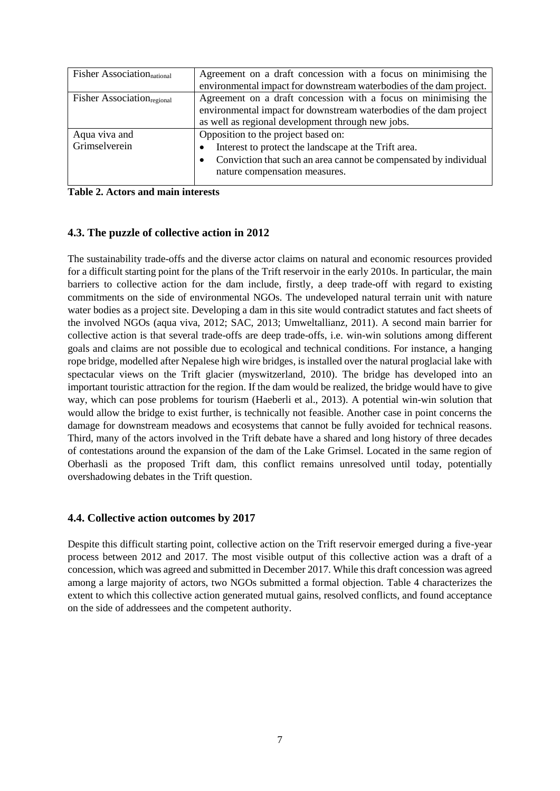| <b>Fisher Association</b> <sub>national</sub> | Agreement on a draft concession with a focus on minimising the                |  |  |
|-----------------------------------------------|-------------------------------------------------------------------------------|--|--|
|                                               | environmental impact for downstream waterbodies of the dam project.           |  |  |
| <b>Fisher Association</b> <sub>regional</sub> | Agreement on a draft concession with a focus on minimising the                |  |  |
|                                               | environmental impact for downstream waterbodies of the dam project            |  |  |
|                                               | as well as regional development through new jobs.                             |  |  |
| Aqua viva and                                 | Opposition to the project based on:                                           |  |  |
| Grimselverein                                 | Interest to protect the landscape at the Trift area.<br>$\bullet$             |  |  |
|                                               | Conviction that such an area cannot be compensated by individual<br>$\bullet$ |  |  |
|                                               | nature compensation measures.                                                 |  |  |
|                                               |                                                                               |  |  |

**Table 2. Actors and main interests**

#### **4.3. The puzzle of collective action in 2012**

The sustainability trade-offs and the diverse actor claims on natural and economic resources provided for a difficult starting point for the plans of the Trift reservoir in the early 2010s. In particular, the main barriers to collective action for the dam include, firstly, a deep trade-off with regard to existing commitments on the side of environmental NGOs. The undeveloped natural terrain unit with nature water bodies as a project site. Developing a dam in this site would contradict statutes and fact sheets of the involved NGOs (aqua viva, 2012; SAC, 2013; Umweltallianz, 2011). A second main barrier for collective action is that several trade-offs are deep trade-offs, i.e. win-win solutions among different goals and claims are not possible due to ecological and technical conditions. For instance, a hanging rope bridge, modelled after Nepalese high wire bridges, is installed over the natural proglacial lake with spectacular views on the Trift glacier (myswitzerland, 2010). The bridge has developed into an important touristic attraction for the region. If the dam would be realized, the bridge would have to give way, which can pose problems for tourism (Haeberli et al., 2013). A potential win-win solution that would allow the bridge to exist further, is technically not feasible. Another case in point concerns the damage for downstream meadows and ecosystems that cannot be fully avoided for technical reasons. Third, many of the actors involved in the Trift debate have a shared and long history of three decades of contestations around the expansion of the dam of the Lake Grimsel. Located in the same region of Oberhasli as the proposed Trift dam, this conflict remains unresolved until today, potentially overshadowing debates in the Trift question.

#### **4.4. Collective action outcomes by 2017**

Despite this difficult starting point, collective action on the Trift reservoir emerged during a five-year process between 2012 and 2017. The most visible output of this collective action was a draft of a concession, which was agreed and submitted in December 2017. While this draft concession was agreed among a large majority of actors, two NGOs submitted a formal objection. Table 4 characterizes the extent to which this collective action generated mutual gains, resolved conflicts, and found acceptance on the side of addressees and the competent authority.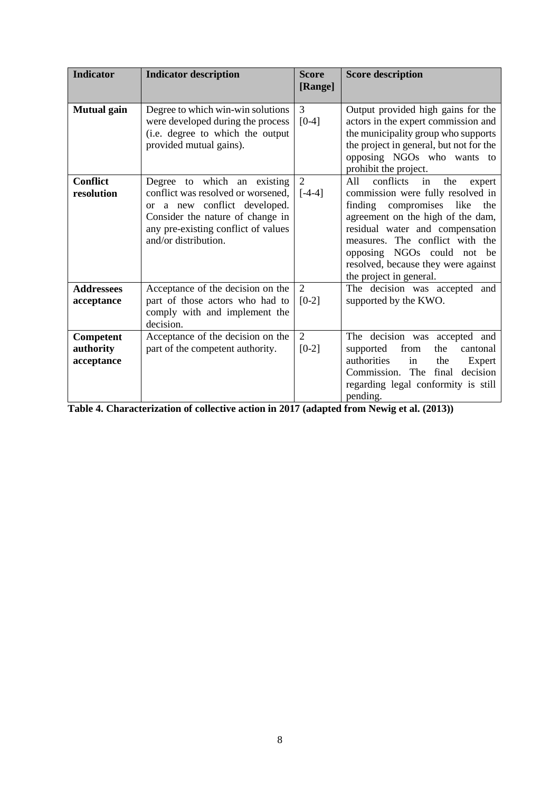| <b>Indicator</b>                     | <b>Indicator description</b>                                                                                                                                                                         | <b>Score</b><br>[Range]   | <b>Score description</b>                                                                                                                                                                                                                                                                                                      |
|--------------------------------------|------------------------------------------------------------------------------------------------------------------------------------------------------------------------------------------------------|---------------------------|-------------------------------------------------------------------------------------------------------------------------------------------------------------------------------------------------------------------------------------------------------------------------------------------------------------------------------|
| <b>Mutual</b> gain                   | Degree to which win-win solutions<br>were developed during the process<br>(i.e. degree to which the output<br>provided mutual gains).                                                                | 3<br>$[0-4]$              | Output provided high gains for the<br>actors in the expert commission and<br>the municipality group who supports<br>the project in general, but not for the<br>opposing NGOs who wants to<br>prohibit the project.                                                                                                            |
| <b>Conflict</b><br>resolution        | Degree to which an existing<br>conflict was resolved or worsened,<br>or a new conflict developed.<br>Consider the nature of change in<br>any pre-existing conflict of values<br>and/or distribution. | 2<br>$[-4-4]$             | conflicts<br>All<br>in<br>the<br>expert<br>commission were fully resolved in<br>compromises like<br>finding<br>the<br>agreement on the high of the dam,<br>residual water and compensation<br>measures. The conflict with the<br>opposing NGOs could not be<br>resolved, because they were against<br>the project in general. |
| <b>Addressees</b><br>acceptance      | Acceptance of the decision on the<br>part of those actors who had to<br>comply with and implement the<br>decision.                                                                                   | 2<br>$[0-2]$              | The decision was accepted and<br>supported by the KWO.                                                                                                                                                                                                                                                                        |
| Competent<br>authority<br>acceptance | Acceptance of the decision on the<br>part of the competent authority.                                                                                                                                | $\overline{2}$<br>$[0-2]$ | The decision was accepted and<br>from<br>the<br>supported<br>cantonal<br>authorities<br>in<br>the<br>Expert<br>Commission. The<br>final<br>decision<br>regarding legal conformity is still<br>pending.                                                                                                                        |

**Table 4. Characterization of collective action in 2017 (adapted from Newig et al. (2013))**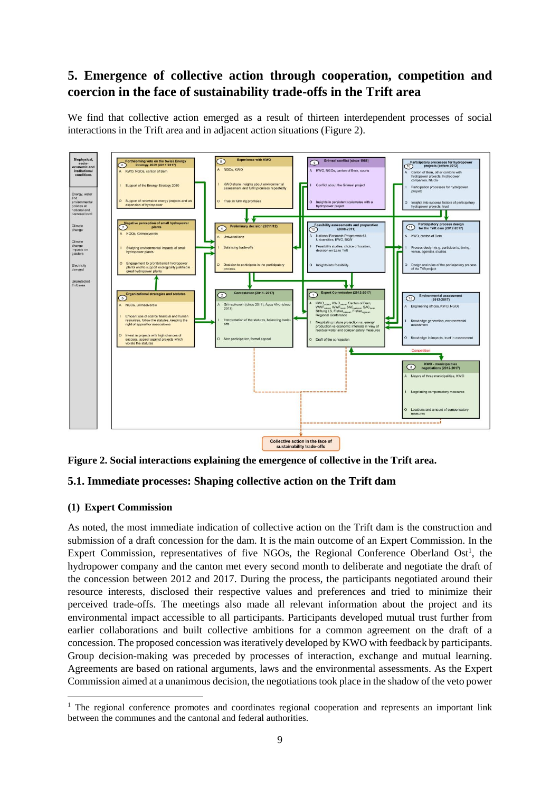# **5. Emergence of collective action through cooperation, competition and coercion in the face of sustainability trade-offs in the Trift area**

We find that collective action emerged as a result of thirteen interdependent processes of social interactions in the Trift area and in adjacent action situations (Figure 2).



**Figure 2. Social interactions explaining the emergence of collective in the Trift area.**

### **5.1. Immediate processes: Shaping collective action on the Trift dam**

### **(1) Expert Commission**

-

As noted, the most immediate indication of collective action on the Trift dam is the construction and submission of a draft concession for the dam. It is the main outcome of an Expert Commission. In the Expert Commission, representatives of five NGOs, the Regional Conference Oberland Ost<sup>1</sup>, the hydropower company and the canton met every second month to deliberate and negotiate the draft of the concession between 2012 and 2017. During the process, the participants negotiated around their resource interests, disclosed their respective values and preferences and tried to minimize their perceived trade-offs. The meetings also made all relevant information about the project and its environmental impact accessible to all participants. Participants developed mutual trust further from earlier collaborations and built collective ambitions for a common agreement on the draft of a concession. The proposed concession was iteratively developed by KWO with feedback by participants. Group decision-making was preceded by processes of interaction, exchange and mutual learning. Agreements are based on rational arguments, laws and the environmental assessments. As the Expert Commission aimed at a unanimous decision, the negotiations took place in the shadow of the veto power

<sup>&</sup>lt;sup>1</sup> The regional conference promotes and coordinates regional cooperation and represents an important link between the communes and the cantonal and federal authorities.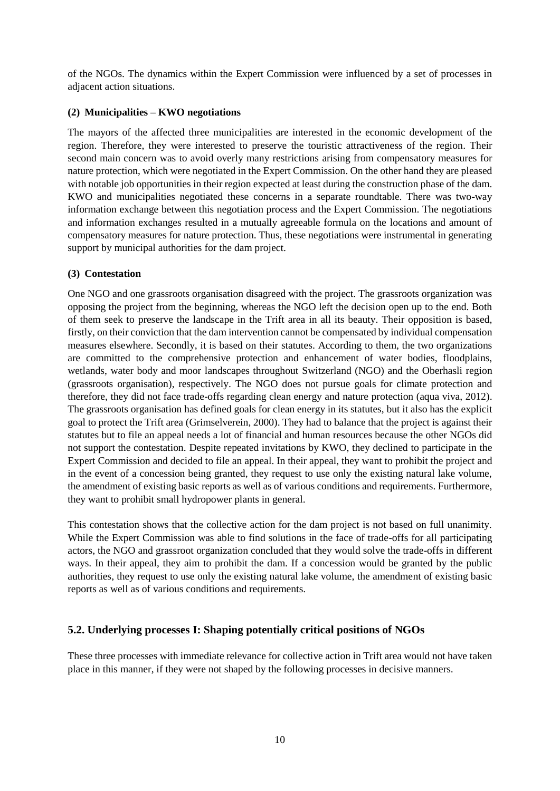of the NGOs. The dynamics within the Expert Commission were influenced by a set of processes in adjacent action situations.

#### **(2) Municipalities – KWO negotiations**

The mayors of the affected three municipalities are interested in the economic development of the region. Therefore, they were interested to preserve the touristic attractiveness of the region. Their second main concern was to avoid overly many restrictions arising from compensatory measures for nature protection, which were negotiated in the Expert Commission. On the other hand they are pleased with notable job opportunities in their region expected at least during the construction phase of the dam. KWO and municipalities negotiated these concerns in a separate roundtable. There was two-way information exchange between this negotiation process and the Expert Commission. The negotiations and information exchanges resulted in a mutually agreeable formula on the locations and amount of compensatory measures for nature protection. Thus, these negotiations were instrumental in generating support by municipal authorities for the dam project.

### **(3) Contestation**

One NGO and one grassroots organisation disagreed with the project. The grassroots organization was opposing the project from the beginning, whereas the NGO left the decision open up to the end. Both of them seek to preserve the landscape in the Trift area in all its beauty. Their opposition is based, firstly, on their conviction that the dam intervention cannot be compensated by individual compensation measures elsewhere. Secondly, it is based on their statutes. According to them, the two organizations are committed to the comprehensive protection and enhancement of water bodies, floodplains, wetlands, water body and moor landscapes throughout Switzerland (NGO) and the Oberhasli region (grassroots organisation), respectively. The NGO does not pursue goals for climate protection and therefore, they did not face trade-offs regarding clean energy and nature protection (aqua viva, 2012). The grassroots organisation has defined goals for clean energy in its statutes, but it also has the explicit goal to protect the Trift area (Grimselverein, 2000). They had to balance that the project is against their statutes but to file an appeal needs a lot of financial and human resources because the other NGOs did not support the contestation. Despite repeated invitations by KWO, they declined to participate in the Expert Commission and decided to file an appeal. In their appeal, they want to prohibit the project and in the event of a concession being granted, they request to use only the existing natural lake volume, the amendment of existing basic reports as well as of various conditions and requirements. Furthermore, they want to prohibit small hydropower plants in general.

This contestation shows that the collective action for the dam project is not based on full unanimity. While the Expert Commission was able to find solutions in the face of trade-offs for all participating actors, the NGO and grassroot organization concluded that they would solve the trade-offs in different ways. In their appeal, they aim to prohibit the dam. If a concession would be granted by the public authorities, they request to use only the existing natural lake volume, the amendment of existing basic reports as well as of various conditions and requirements.

### **5.2. Underlying processes I: Shaping potentially critical positions of NGOs**

These three processes with immediate relevance for collective action in Trift area would not have taken place in this manner, if they were not shaped by the following processes in decisive manners.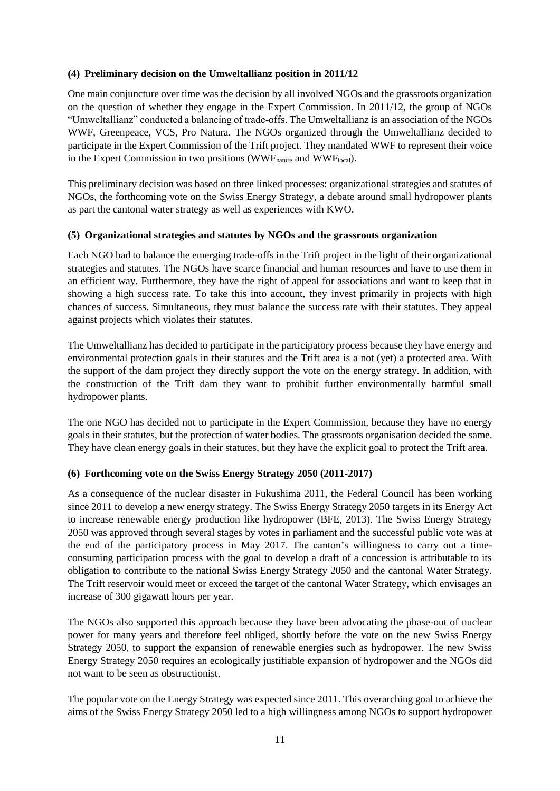#### **(4) Preliminary decision on the Umweltallianz position in 2011/12**

One main conjuncture over time was the decision by all involved NGOs and the grassroots organization on the question of whether they engage in the Expert Commission. In 2011/12, the group of NGOs "Umweltallianz" conducted a balancing of trade-offs. The Umweltallianz is an association of the NGOs WWF, Greenpeace, VCS, Pro Natura. The NGOs organized through the Umweltallianz decided to participate in the Expert Commission of the Trift project. They mandated WWF to represent their voice in the Expert Commission in two positions (WWF $_{\text{natural}}$ ).

This preliminary decision was based on three linked processes: organizational strategies and statutes of NGOs, the forthcoming vote on the Swiss Energy Strategy, a debate around small hydropower plants as part the cantonal water strategy as well as experiences with KWO.

#### **(5) Organizational strategies and statutes by NGOs and the grassroots organization**

Each NGO had to balance the emerging trade-offs in the Trift project in the light of their organizational strategies and statutes. The NGOs have scarce financial and human resources and have to use them in an efficient way. Furthermore, they have the right of appeal for associations and want to keep that in showing a high success rate. To take this into account, they invest primarily in projects with high chances of success. Simultaneous, they must balance the success rate with their statutes. They appeal against projects which violates their statutes.

The Umweltallianz has decided to participate in the participatory process because they have energy and environmental protection goals in their statutes and the Trift area is a not (yet) a protected area. With the support of the dam project they directly support the vote on the energy strategy. In addition, with the construction of the Trift dam they want to prohibit further environmentally harmful small hydropower plants.

The one NGO has decided not to participate in the Expert Commission, because they have no energy goals in their statutes, but the protection of water bodies. The grassroots organisation decided the same. They have clean energy goals in their statutes, but they have the explicit goal to protect the Trift area.

### **(6) Forthcoming vote on the Swiss Energy Strategy 2050 (2011-2017)**

As a consequence of the nuclear disaster in Fukushima 2011, the Federal Council has been working since 2011 to develop a new energy strategy. The Swiss Energy Strategy 2050 targets in its Energy Act to increase renewable energy production like hydropower (BFE, 2013). The Swiss Energy Strategy 2050 was approved through several stages by votes in parliament and the successful public vote was at the end of the participatory process in May 2017. The canton's willingness to carry out a timeconsuming participation process with the goal to develop a draft of a concession is attributable to its obligation to contribute to the national Swiss Energy Strategy 2050 and the cantonal Water Strategy. The Trift reservoir would meet or exceed the target of the cantonal Water Strategy, which envisages an increase of 300 gigawatt hours per year.

The NGOs also supported this approach because they have been advocating the phase-out of nuclear power for many years and therefore feel obliged, shortly before the vote on the new Swiss Energy Strategy 2050, to support the expansion of renewable energies such as hydropower. The new Swiss Energy Strategy 2050 requires an ecologically justifiable expansion of hydropower and the NGOs did not want to be seen as obstructionist.

The popular vote on the Energy Strategy was expected since 2011. This overarching goal to achieve the aims of the Swiss Energy Strategy 2050 led to a high willingness among NGOs to support hydropower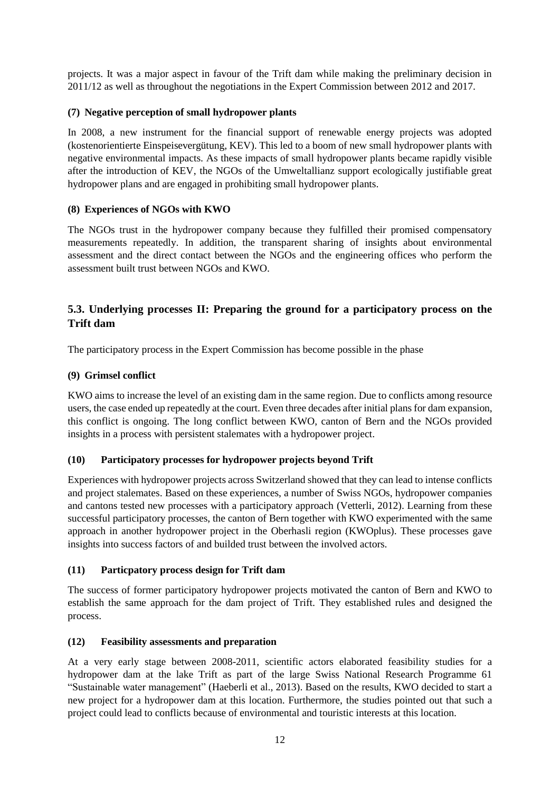projects. It was a major aspect in favour of the Trift dam while making the preliminary decision in 2011/12 as well as throughout the negotiations in the Expert Commission between 2012 and 2017.

### **(7) Negative perception of small hydropower plants**

In 2008, a new instrument for the financial support of renewable energy projects was adopted (kostenorientierte Einspeisevergütung, KEV). This led to a boom of new small hydropower plants with negative environmental impacts. As these impacts of small hydropower plants became rapidly visible after the introduction of KEV, the NGOs of the Umweltallianz support ecologically justifiable great hydropower plans and are engaged in prohibiting small hydropower plants.

### **(8) Experiences of NGOs with KWO**

The NGOs trust in the hydropower company because they fulfilled their promised compensatory measurements repeatedly. In addition, the transparent sharing of insights about environmental assessment and the direct contact between the NGOs and the engineering offices who perform the assessment built trust between NGOs and KWO.

### **5.3. Underlying processes II: Preparing the ground for a participatory process on the Trift dam**

The participatory process in the Expert Commission has become possible in the phase

### **(9) Grimsel conflict**

KWO aims to increase the level of an existing dam in the same region. Due to conflicts among resource users, the case ended up repeatedly at the court. Even three decades after initial plans for dam expansion, this conflict is ongoing. The long conflict between KWO, canton of Bern and the NGOs provided insights in a process with persistent stalemates with a hydropower project.

### **(10) Participatory processes for hydropower projects beyond Trift**

Experiences with hydropower projects across Switzerland showed that they can lead to intense conflicts and project stalemates. Based on these experiences, a number of Swiss NGOs, hydropower companies and cantons tested new processes with a participatory approach (Vetterli, 2012). Learning from these successful participatory processes, the canton of Bern together with KWO experimented with the same approach in another hydropower project in the Oberhasli region (KWOplus). These processes gave insights into success factors of and builded trust between the involved actors.

### **(11) Particpatory process design for Trift dam**

The success of former participatory hydropower projects motivated the canton of Bern and KWO to establish the same approach for the dam project of Trift. They established rules and designed the process.

### **(12) Feasibility assessments and preparation**

At a very early stage between 2008-2011, scientific actors elaborated feasibility studies for a hydropower dam at the lake Trift as part of the large Swiss National Research Programme 61 "Sustainable water management" (Haeberli et al., 2013). Based on the results, KWO decided to start a new project for a hydropower dam at this location. Furthermore, the studies pointed out that such a project could lead to conflicts because of environmental and touristic interests at this location.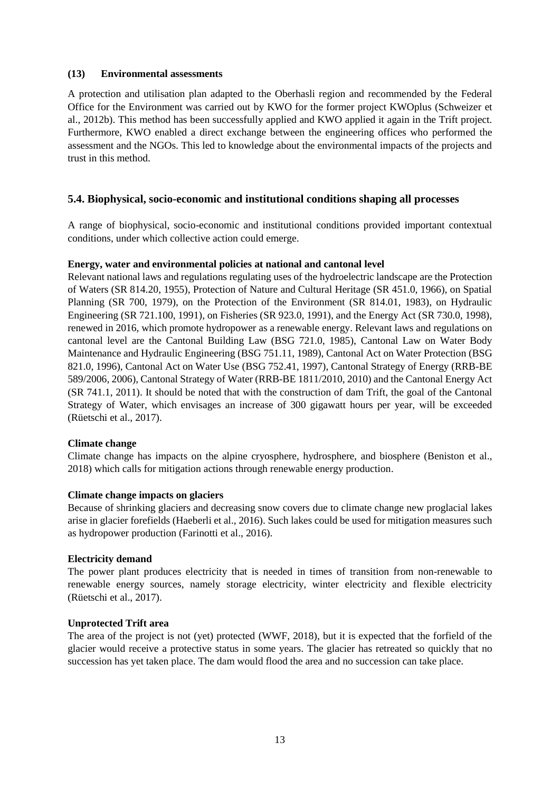#### **(13) Environmental assessments**

A protection and utilisation plan adapted to the Oberhasli region and recommended by the Federal Office for the Environment was carried out by KWO for the former project KWOplus (Schweizer et al., 2012b). This method has been successfully applied and KWO applied it again in the Trift project. Furthermore, KWO enabled a direct exchange between the engineering offices who performed the assessment and the NGOs. This led to knowledge about the environmental impacts of the projects and trust in this method.

#### **5.4. Biophysical, socio-economic and institutional conditions shaping all processes**

A range of biophysical, socio-economic and institutional conditions provided important contextual conditions, under which collective action could emerge.

#### **Energy, water and environmental policies at national and cantonal level**

Relevant national laws and regulations regulating uses of the hydroelectric landscape are the Protection of Waters (SR 814.20, 1955), Protection of Nature and Cultural Heritage (SR 451.0, 1966), on Spatial Planning (SR 700, 1979), on the Protection of the Environment (SR 814.01, 1983), on Hydraulic Engineering (SR 721.100, 1991), on Fisheries (SR 923.0, 1991), and the Energy Act (SR 730.0, 1998), renewed in 2016, which promote hydropower as a renewable energy. Relevant laws and regulations on cantonal level are the Cantonal Building Law (BSG 721.0, 1985), Cantonal Law on Water Body Maintenance and Hydraulic Engineering (BSG 751.11, 1989), Cantonal Act on Water Protection (BSG 821.0, 1996), Cantonal Act on Water Use (BSG 752.41, 1997), Cantonal Strategy of Energy (RRB-BE 589/2006, 2006), Cantonal Strategy of Water (RRB-BE 1811/2010, 2010) and the Cantonal Energy Act (SR 741.1, 2011). It should be noted that with the construction of dam Trift, the goal of the Cantonal Strategy of Water, which envisages an increase of 300 gigawatt hours per year, will be exceeded (Rüetschi et al., 2017).

#### **Climate change**

Climate change has impacts on the alpine cryosphere, hydrosphere, and biosphere (Beniston et al., 2018) which calls for mitigation actions through renewable energy production.

#### **Climate change impacts on glaciers**

Because of shrinking glaciers and decreasing snow covers due to climate change new proglacial lakes arise in glacier forefields (Haeberli et al., 2016). Such lakes could be used for mitigation measures such as hydropower production (Farinotti et al., 2016).

#### **Electricity demand**

The power plant produces electricity that is needed in times of transition from non-renewable to renewable energy sources, namely storage electricity, winter electricity and flexible electricity (Rüetschi et al., 2017).

#### **Unprotected Trift area**

The area of the project is not (yet) protected (WWF, 2018), but it is expected that the forfield of the glacier would receive a protective status in some years. The glacier has retreated so quickly that no succession has yet taken place. The dam would flood the area and no succession can take place.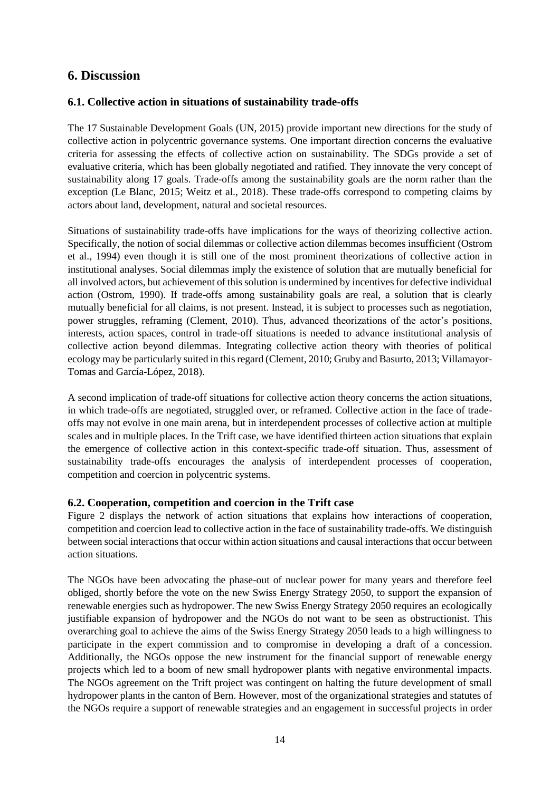### **6. Discussion**

### **6.1. Collective action in situations of sustainability trade-offs**

The 17 Sustainable Development Goals (UN, 2015) provide important new directions for the study of collective action in polycentric governance systems. One important direction concerns the evaluative criteria for assessing the effects of collective action on sustainability. The SDGs provide a set of evaluative criteria, which has been globally negotiated and ratified. They innovate the very concept of sustainability along 17 goals. Trade-offs among the sustainability goals are the norm rather than the exception (Le Blanc, 2015; Weitz et al., 2018). These trade-offs correspond to competing claims by actors about land, development, natural and societal resources.

Situations of sustainability trade-offs have implications for the ways of theorizing collective action. Specifically, the notion of social dilemmas or collective action dilemmas becomes insufficient (Ostrom et al., 1994) even though it is still one of the most prominent theorizations of collective action in institutional analyses. Social dilemmas imply the existence of solution that are mutually beneficial for all involved actors, but achievement of this solution is undermined by incentives for defective individual action (Ostrom, 1990). If trade-offs among sustainability goals are real, a solution that is clearly mutually beneficial for all claims, is not present. Instead, it is subject to processes such as negotiation, power struggles, reframing (Clement, 2010). Thus, advanced theorizations of the actor's positions, interests, action spaces, control in trade-off situations is needed to advance institutional analysis of collective action beyond dilemmas. Integrating collective action theory with theories of political ecology may be particularly suited in this regard (Clement, 2010; Gruby and Basurto, 2013; Villamayor-Tomas and García-López, 2018).

A second implication of trade-off situations for collective action theory concerns the action situations, in which trade-offs are negotiated, struggled over, or reframed. Collective action in the face of tradeoffs may not evolve in one main arena, but in interdependent processes of collective action at multiple scales and in multiple places. In the Trift case, we have identified thirteen action situations that explain the emergence of collective action in this context-specific trade-off situation. Thus, assessment of sustainability trade-offs encourages the analysis of interdependent processes of cooperation, competition and coercion in polycentric systems.

### **6.2. Cooperation, competition and coercion in the Trift case**

Figure 2 displays the network of action situations that explains how interactions of cooperation, competition and coercion lead to collective action in the face of sustainability trade-offs. We distinguish between social interactions that occur within action situations and causal interactions that occur between action situations.

The NGOs have been advocating the phase-out of nuclear power for many years and therefore feel obliged, shortly before the vote on the new Swiss Energy Strategy 2050, to support the expansion of renewable energies such as hydropower. The new Swiss Energy Strategy 2050 requires an ecologically justifiable expansion of hydropower and the NGOs do not want to be seen as obstructionist. This overarching goal to achieve the aims of the Swiss Energy Strategy 2050 leads to a high willingness to participate in the expert commission and to compromise in developing a draft of a concession. Additionally, the NGOs oppose the new instrument for the financial support of renewable energy projects which led to a boom of new small hydropower plants with negative environmental impacts. The NGOs agreement on the Trift project was contingent on halting the future development of small hydropower plants in the canton of Bern. However, most of the organizational strategies and statutes of the NGOs require a support of renewable strategies and an engagement in successful projects in order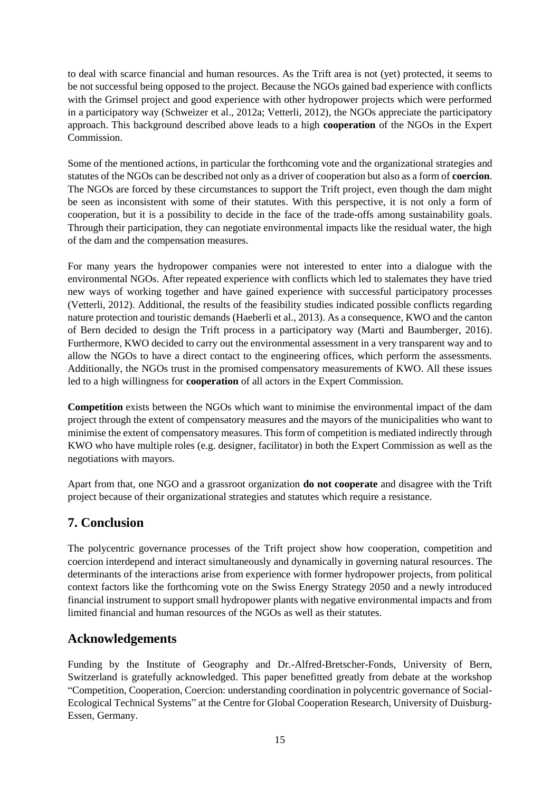to deal with scarce financial and human resources. As the Trift area is not (yet) protected, it seems to be not successful being opposed to the project. Because the NGOs gained bad experience with conflicts with the Grimsel project and good experience with other hydropower projects which were performed in a participatory way (Schweizer et al., 2012a; Vetterli, 2012), the NGOs appreciate the participatory approach. This background described above leads to a high **cooperation** of the NGOs in the Expert Commission.

Some of the mentioned actions, in particular the forthcoming vote and the organizational strategies and statutes of the NGOs can be described not only as a driver of cooperation but also as a form of **coercion**. The NGOs are forced by these circumstances to support the Trift project, even though the dam might be seen as inconsistent with some of their statutes. With this perspective, it is not only a form of cooperation, but it is a possibility to decide in the face of the trade-offs among sustainability goals. Through their participation, they can negotiate environmental impacts like the residual water, the high of the dam and the compensation measures.

For many years the hydropower companies were not interested to enter into a dialogue with the environmental NGOs. After repeated experience with conflicts which led to stalemates they have tried new ways of working together and have gained experience with successful participatory processes (Vetterli, 2012). Additional, the results of the feasibility studies indicated possible conflicts regarding nature protection and touristic demands (Haeberli et al., 2013). As a consequence, KWO and the canton of Bern decided to design the Trift process in a participatory way (Marti and Baumberger, 2016). Furthermore, KWO decided to carry out the environmental assessment in a very transparent way and to allow the NGOs to have a direct contact to the engineering offices, which perform the assessments. Additionally, the NGOs trust in the promised compensatory measurements of KWO. All these issues led to a high willingness for **cooperation** of all actors in the Expert Commission.

**Competition** exists between the NGOs which want to minimise the environmental impact of the dam project through the extent of compensatory measures and the mayors of the municipalities who want to minimise the extent of compensatory measures. This form of competition is mediated indirectly through KWO who have multiple roles (e.g. designer, facilitator) in both the Expert Commission as well as the negotiations with mayors.

Apart from that, one NGO and a grassroot organization **do not cooperate** and disagree with the Trift project because of their organizational strategies and statutes which require a resistance.

# **7. Conclusion**

The polycentric governance processes of the Trift project show how cooperation, competition and coercion interdepend and interact simultaneously and dynamically in governing natural resources. The determinants of the interactions arise from experience with former hydropower projects, from political context factors like the forthcoming vote on the Swiss Energy Strategy 2050 and a newly introduced financial instrument to support small hydropower plants with negative environmental impacts and from limited financial and human resources of the NGOs as well as their statutes.

# **Acknowledgements**

Funding by the Institute of Geography and Dr.-Alfred-Bretscher-Fonds, University of Bern, Switzerland is gratefully acknowledged. This paper benefitted greatly from debate at the workshop "Competition, Cooperation, Coercion: understanding coordination in polycentric governance of Social-Ecological Technical Systems" at the Centre for Global Cooperation Research, University of Duisburg-Essen, Germany.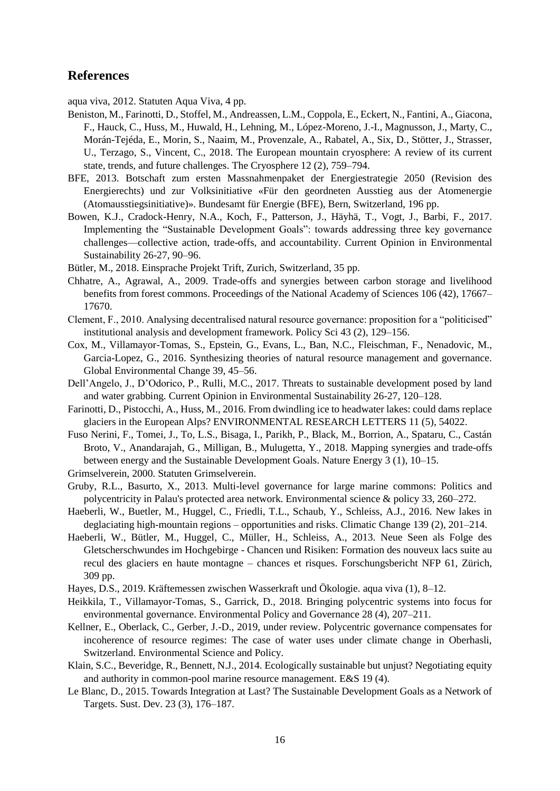### **References**

aqua viva, 2012. Statuten Aqua Viva, 4 pp.

- Beniston, M., Farinotti, D., Stoffel, M., Andreassen, L.M., Coppola, E., Eckert, N., Fantini, A., Giacona, F., Hauck, C., Huss, M., Huwald, H., Lehning, M., López-Moreno, J.-I., Magnusson, J., Marty, C., Morán-Tejéda, E., Morin, S., Naaim, M., Provenzale, A., Rabatel, A., Six, D., Stötter, J., Strasser, U., Terzago, S., Vincent, C., 2018. The European mountain cryosphere: A review of its current state, trends, and future challenges. The Cryosphere 12 (2), 759–794.
- BFE, 2013. Botschaft zum ersten Massnahmenpaket der Energiestrategie 2050 (Revision des Energierechts) und zur Volksinitiative «Für den geordneten Ausstieg aus der Atomenergie (Atomausstiegsinitiative)». Bundesamt für Energie (BFE), Bern, Switzerland, 196 pp.
- Bowen, K.J., Cradock-Henry, N.A., Koch, F., Patterson, J., Häyhä, T., Vogt, J., Barbi, F., 2017. Implementing the "Sustainable Development Goals": towards addressing three key governance challenges—collective action, trade-offs, and accountability. Current Opinion in Environmental Sustainability 26-27, 90–96.
- Bütler, M., 2018. Einsprache Projekt Trift, Zurich, Switzerland, 35 pp.
- Chhatre, A., Agrawal, A., 2009. Trade-offs and synergies between carbon storage and livelihood benefits from forest commons. Proceedings of the National Academy of Sciences 106 (42), 17667– 17670.
- Clement, F., 2010. Analysing decentralised natural resource governance: proposition for a "politicised" institutional analysis and development framework. Policy Sci 43 (2), 129–156.
- Cox, M., Villamayor-Tomas, S., Epstein, G., Evans, L., Ban, N.C., Fleischman, F., Nenadovic, M., Garcia-Lopez, G., 2016. Synthesizing theories of natural resource management and governance. Global Environmental Change 39, 45–56.
- Dell'Angelo, J., D'Odorico, P., Rulli, M.C., 2017. Threats to sustainable development posed by land and water grabbing. Current Opinion in Environmental Sustainability 26-27, 120–128.
- Farinotti, D., Pistocchi, A., Huss, M., 2016. From dwindling ice to headwater lakes: could dams replace glaciers in the European Alps? ENVIRONMENTAL RESEARCH LETTERS 11 (5), 54022.
- Fuso Nerini, F., Tomei, J., To, L.S., Bisaga, I., Parikh, P., Black, M., Borrion, A., Spataru, C., Castán Broto, V., Anandarajah, G., Milligan, B., Mulugetta, Y., 2018. Mapping synergies and trade-offs between energy and the Sustainable Development Goals. Nature Energy 3 (1), 10–15.
- Grimselverein, 2000. Statuten Grimselverein.
- Gruby, R.L., Basurto, X., 2013. Multi-level governance for large marine commons: Politics and polycentricity in Palau's protected area network. Environmental science & policy 33, 260–272.
- Haeberli, W., Buetler, M., Huggel, C., Friedli, T.L., Schaub, Y., Schleiss, A.J., 2016. New lakes in deglaciating high-mountain regions – opportunities and risks. Climatic Change 139 (2), 201–214.
- Haeberli, W., Bütler, M., Huggel, C., Müller, H., Schleiss, A., 2013. Neue Seen als Folge des Gletscherschwundes im Hochgebirge - Chancen und Risiken: Formation des nouveux lacs suite au recul des glaciers en haute montagne – chances et risques. Forschungsbericht NFP 61, Zürich, 309 pp.
- Hayes, D.S., 2019. Kräftemessen zwischen Wasserkraft und Ökologie. aqua viva (1), 8–12.
- Heikkila, T., Villamayor-Tomas, S., Garrick, D., 2018. Bringing polycentric systems into focus for environmental governance. Environmental Policy and Governance 28 (4), 207–211.
- Kellner, E., Oberlack, C., Gerber, J.-D., 2019, under review. Polycentric governance compensates for incoherence of resource regimes: The case of water uses under climate change in Oberhasli, Switzerland. Environmental Science and Policy.
- Klain, S.C., Beveridge, R., Bennett, N.J., 2014. Ecologically sustainable but unjust? Negotiating equity and authority in common-pool marine resource management. E&S 19 (4).
- Le Blanc, D., 2015. Towards Integration at Last? The Sustainable Development Goals as a Network of Targets. Sust. Dev. 23 (3), 176–187.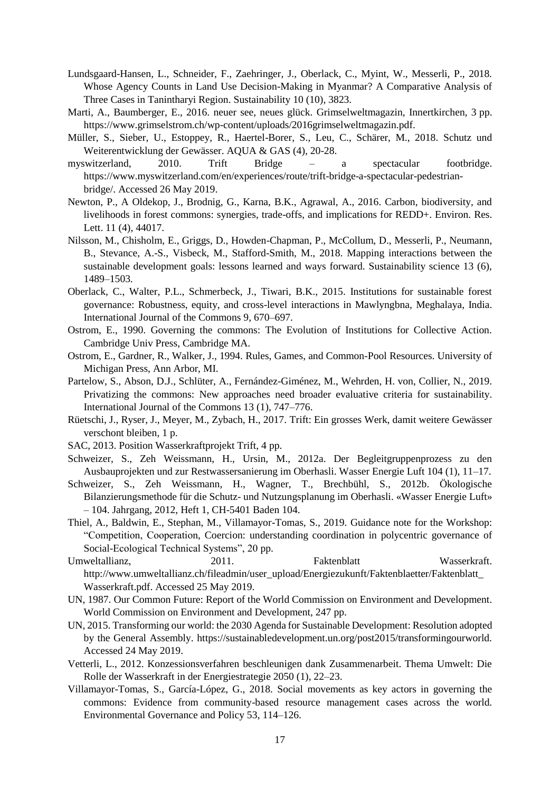- Lundsgaard-Hansen, L., Schneider, F., Zaehringer, J., Oberlack, C., Myint, W., Messerli, P., 2018. Whose Agency Counts in Land Use Decision-Making in Myanmar? A Comparative Analysis of Three Cases in Tanintharyi Region. Sustainability 10 (10), 3823.
- Marti, A., Baumberger, E., 2016. neuer see, neues glück. Grimselweltmagazin, Innertkirchen, 3 pp. https://www.grimselstrom.ch/wp-content/uploads/2016grimselweltmagazin.pdf.
- Müller, S., Sieber, U., Estoppey, R., Haertel-Borer, S., Leu, C., Schärer, M., 2018. Schutz und Weiterentwicklung der Gewässer. AQUA & GAS (4), 20-28.
- myswitzerland, 2010. Trift Bridge a spectacular footbridge. https://www.myswitzerland.com/en/experiences/route/trift-bridge-a-spectacular-pedestrianbridge/. Accessed 26 May 2019.
- Newton, P., A Oldekop, J., Brodnig, G., Karna, B.K., Agrawal, A., 2016. Carbon, biodiversity, and livelihoods in forest commons: synergies, trade-offs, and implications for REDD+. Environ. Res. Lett. 11 (4), 44017.
- Nilsson, M., Chisholm, E., Griggs, D., Howden-Chapman, P., McCollum, D., Messerli, P., Neumann, B., Stevance, A.-S., Visbeck, M., Stafford-Smith, M., 2018. Mapping interactions between the sustainable development goals: lessons learned and ways forward. Sustainability science 13 (6), 1489–1503.
- Oberlack, C., Walter, P.L., Schmerbeck, J., Tiwari, B.K., 2015. Institutions for sustainable forest governance: Robustness, equity, and cross-level interactions in Mawlyngbna, Meghalaya, India. International Journal of the Commons 9, 670–697.
- Ostrom, E., 1990. Governing the commons: The Evolution of Institutions for Collective Action. Cambridge Univ Press, Cambridge MA.
- Ostrom, E., Gardner, R., Walker, J., 1994. Rules, Games, and Common-Pool Resources. University of Michigan Press, Ann Arbor, MI.
- Partelow, S., Abson, D.J., Schlüter, A., Fernández-Giménez, M., Wehrden, H. von, Collier, N., 2019. Privatizing the commons: New approaches need broader evaluative criteria for sustainability. International Journal of the Commons 13 (1), 747–776.
- Rüetschi, J., Ryser, J., Meyer, M., Zybach, H., 2017. Trift: Ein grosses Werk, damit weitere Gewässer verschont bleiben, 1 p.
- SAC, 2013. Position Wasserkraftprojekt Trift, 4 pp.
- Schweizer, S., Zeh Weissmann, H., Ursin, M., 2012a. Der Begleitgruppenprozess zu den Ausbauprojekten und zur Restwassersanierung im Oberhasli. Wasser Energie Luft 104 (1), 11–17.
- Schweizer, S., Zeh Weissmann, H., Wagner, T., Brechbühl, S., 2012b. Ökologische Bilanzierungsmethode für die Schutz- und Nutzungsplanung im Oberhasli. «Wasser Energie Luft» – 104. Jahrgang, 2012, Heft 1, CH-5401 Baden 104.
- Thiel, A., Baldwin, E., Stephan, M., Villamayor-Tomas, S., 2019. Guidance note for the Workshop: "Competition, Cooperation, Coercion: understanding coordination in polycentric governance of Social-Ecological Technical Systems", 20 pp.
- Umweltallianz. 2011. Paktenblatt Wasserkraft. http://www.umweltallianz.ch/fileadmin/user\_upload/Energiezukunft/Faktenblaetter/Faktenblatt\_ Wasserkraft.pdf. Accessed 25 May 2019.
- UN, 1987. Our Common Future: Report of the World Commission on Environment and Development. World Commission on Environment and Development, 247 pp.
- UN, 2015. Transforming our world: the 2030 Agenda for Sustainable Development: Resolution adopted by the General Assembly. https://sustainabledevelopment.un.org/post2015/transformingourworld. Accessed 24 May 2019.
- Vetterli, L., 2012. Konzessionsverfahren beschleunigen dank Zusammenarbeit. Thema Umwelt: Die Rolle der Wasserkraft in der Energiestrategie 2050 (1), 22–23.
- Villamayor-Tomas, S., García-López, G., 2018. Social movements as key actors in governing the commons: Evidence from community-based resource management cases across the world. Environmental Governance and Policy 53, 114–126.